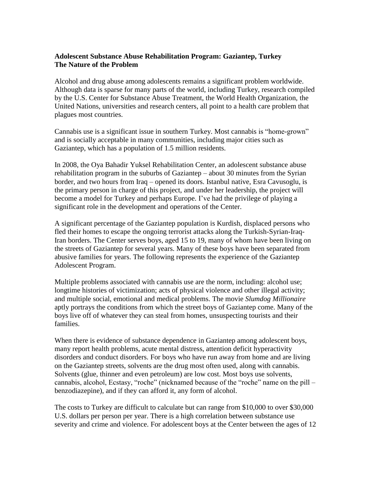# **Adolescent Substance Abuse Rehabilitation Program: Gaziantep, Turkey The Nature of the Problem**

Alcohol and drug abuse among adolescents remains a significant problem worldwide. Although data is sparse for many parts of the world, including Turkey, research compiled by the U.S. Center for Substance Abuse Treatment, the World Health Organization, the United Nations, universities and research centers, all point to a health care problem that plagues most countries.

Cannabis use is a significant issue in southern Turkey. Most cannabis is "home-grown" and is socially acceptable in many communities, including major cities such as Gaziantep, which has a population of 1.5 million residents.

In 2008, the Oya Bahadir Yuksel Rehabilitation Center, an adolescent substance abuse rehabilitation program in the suburbs of Gaziantep – about 30 minutes from the Syrian border, and two hours from Iraq – opened its doors. Istanbul native, Esra Cavusoglu, is the primary person in charge of this project, and under her leadership, the project will become a model for Turkey and perhaps Europe. I've had the privilege of playing a significant role in the development and operations of the Center.

A significant percentage of the Gaziantep population is Kurdish, displaced persons who fled their homes to escape the ongoing terrorist attacks along the Turkish-Syrian-Iraq-Iran borders. The Center serves boys, aged 15 to 19, many of whom have been living on the streets of Gaziantep for several years. Many of these boys have been separated from abusive families for years. The following represents the experience of the Gaziantep Adolescent Program.

Multiple problems associated with cannabis use are the norm, including: alcohol use; longtime histories of victimization; acts of physical violence and other illegal activity; and multiple social, emotional and medical problems. The movie *Slumdog Millionaire* aptly portrays the conditions from which the street boys of Gaziantep come. Many of the boys live off of whatever they can steal from homes, unsuspecting tourists and their families.

When there is evidence of substance dependence in Gaziantep among adolescent boys, many report health problems, acute mental distress, attention deficit hyperactivity disorders and conduct disorders. For boys who have run away from home and are living on the Gaziantep streets, solvents are the drug most often used, along with cannabis. Solvents (glue, thinner and even petroleum) are low cost. Most boys use solvents, cannabis, alcohol, Ecstasy, "roche" (nicknamed because of the "roche" name on the pill – benzodiazepine), and if they can afford it, any form of alcohol.

The costs to Turkey are difficult to calculate but can range from \$10,000 to over \$30,000 U.S. dollars per person per year. There is a high correlation between substance use severity and crime and violence. For adolescent boys at the Center between the ages of 12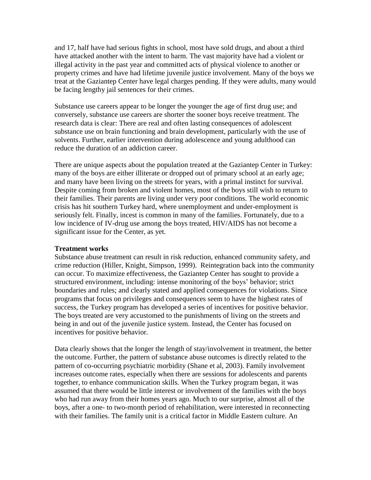and 17, half have had serious fights in school, most have sold drugs, and about a third have attacked another with the intent to harm. The vast majority have had a violent or illegal activity in the past year and committed acts of physical violence to another or property crimes and have had lifetime juvenile justice involvement. Many of the boys we treat at the Gaziantep Center have legal charges pending. If they were adults, many would be facing lengthy jail sentences for their crimes.

Substance use careers appear to be longer the younger the age of first drug use; and conversely, substance use careers are shorter the sooner boys receive treatment. The research data is clear: There are real and often lasting consequences of adolescent substance use on brain functioning and brain development, particularly with the use of solvents. Further, earlier intervention during adolescence and young adulthood can reduce the duration of an addiction career.

There are unique aspects about the population treated at the Gaziantep Center in Turkey: many of the boys are either illiterate or dropped out of primary school at an early age; and many have been living on the streets for years, with a primal instinct for survival. Despite coming from broken and violent homes, most of the boys still wish to return to their families. Their parents are living under very poor conditions. The world economic crisis has hit southern Turkey hard, where unemployment and under-employment is seriously felt. Finally, incest is common in many of the families. Fortunately, due to a low incidence of IV-drug use among the boys treated, HIV/AIDS has not become a significant issue for the Center, as yet.

### **Treatment works**

Substance abuse treatment can result in risk reduction, enhanced community safety, and crime reduction (Hiller, Knight, Simpson, 1999). Reintegration back into the community can occur. To maximize effectiveness, the Gaziantep Center has sought to provide a structured environment, including: intense monitoring of the boys' behavior; strict boundaries and rules; and clearly stated and applied consequences for violations. Since programs that focus on privileges and consequences seem to have the highest rates of success, the Turkey program has developed a series of incentives for positive behavior. The boys treated are very accustomed to the punishments of living on the streets and being in and out of the juvenile justice system. Instead, the Center has focused on incentives for positive behavior.

Data clearly shows that the longer the length of stay/involvement in treatment, the better the outcome. Further, the pattern of substance abuse outcomes is directly related to the pattern of co-occurring psychiatric morbidity (Shane et al, 2003). Family involvement increases outcome rates, especially when there are sessions for adolescents and parents together, to enhance communication skills. When the Turkey program began, it was assumed that there would be little interest or involvement of the families with the boys who had run away from their homes years ago. Much to our surprise, almost all of the boys, after a one- to two-month period of rehabilitation, were interested in reconnecting with their families. The family unit is a critical factor in Middle Eastern culture. An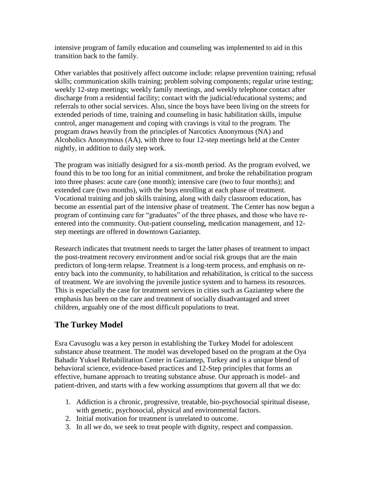intensive program of family education and counseling was implemented to aid in this transition back to the family.

Other variables that positively affect outcome include: relapse prevention training; refusal skills; communication skills training; problem solving components; regular urine testing; weekly 12-step meetings; weekly family meetings, and weekly telephone contact after discharge from a residential facility; contact with the judicial/educational systems; and referrals to other social services. Also, since the boys have been living on the streets for extended periods of time, training and counseling in basic habilitation skills, impulse control, anger management and coping with cravings is vital to the program. The program draws heavily from the principles of Narcotics Anonymous (NA) and Alcoholics Anonymous (AA), with three to four 12-step meetings held at the Center nightly, in addition to daily step work.

The program was initially designed for a six-month period. As the program evolved, we found this to be too long for an initial commitment, and broke the rehabilitation program into three phases: acute care (one month); intensive care (two to four months); and extended care (two months), with the boys enrolling at each phase of treatment. Vocational training and job skills training, along with daily classroom education, has become an essential part of the intensive phase of treatment. The Center has now begun a program of continuing care for "graduates" of the three phases, and those who have reentered into the community. Out-patient counseling, medication management, and 12 step meetings are offered in downtown Gaziantep.

Research indicates that treatment needs to target the latter phases of treatment to impact the post-treatment recovery environment and/or social risk groups that are the main predictors of long-term relapse. Treatment is a long-term process, and emphasis on reentry back into the community, to habilitation and rehabilitation, is critical to the success of treatment. We are involving the juvenile justice system and to harness its resources. This is especially the case for treatment services in cities such as Gaziantep where the emphasis has been on the care and treatment of socially disadvantaged and street children, arguably one of the most difficult populations to treat.

# **The Turkey Model**

Esra Cavusoglu was a key person in establishing the Turkey Model for adolescent substance abuse treatment. The model was developed based on the program at the Oya Bahadir Yuksel Rehabilitation Center in Gaziantep, Turkey and is a unique blend of behavioral science, evidence-based practices and 12-Step principles that forms an effective, humane approach to treating substance abuse. Our approach is model- and patient-driven, and starts with a few working assumptions that govern all that we do:

- 1. Addiction is a chronic, progressive, treatable, bio-psychosocial spiritual disease, with genetic, psychosocial, physical and environmental factors.
- 2. Initial motivation for treatment is unrelated to outcome.
- 3. In all we do, we seek to treat people with dignity, respect and compassion.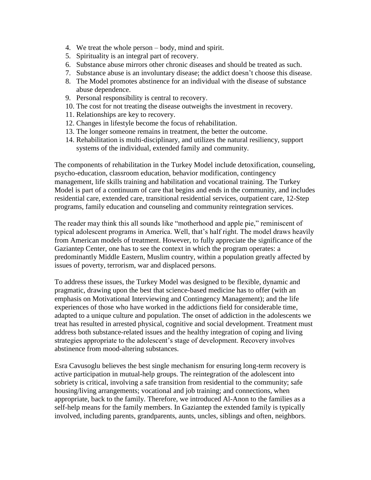- 4. We treat the whole person body, mind and spirit.
- 5. Spirituality is an integral part of recovery.
- 6. Substance abuse mirrors other chronic diseases and should be treated as such.
- 7. Substance abuse is an involuntary disease; the addict doesn't choose this disease.
- 8. The Model promotes abstinence for an individual with the disease of substance abuse dependence.
- 9. Personal responsibility is central to recovery.
- 10. The cost for not treating the disease outweighs the investment in recovery.
- 11. Relationships are key to recovery.
- 12. Changes in lifestyle become the focus of rehabilitation.
- 13. The longer someone remains in treatment, the better the outcome.
- 14. Rehabilitation is multi-disciplinary, and utilizes the natural resiliency, support systems of the individual, extended family and community.

The components of rehabilitation in the Turkey Model include detoxification, counseling, psycho-education, classroom education, behavior modification, contingency management, life skills training and habilitation and vocational training. The Turkey Model is part of a continuum of care that begins and ends in the community, and includes residential care, extended care, transitional residential services, outpatient care, 12-Step programs, family education and counseling and community reintegration services.

The reader may think this all sounds like "motherhood and apple pie," reminiscent of typical adolescent programs in America. Well, that's half right. The model draws heavily from American models of treatment. However, to fully appreciate the significance of the Gaziantep Center, one has to see the context in which the program operates: a predominantly Middle Eastern, Muslim country, within a population greatly affected by issues of poverty, terrorism, war and displaced persons.

To address these issues, the Turkey Model was designed to be flexible, dynamic and pragmatic, drawing upon the best that science-based medicine has to offer (with an emphasis on Motivational Interviewing and Contingency Management); and the life experiences of those who have worked in the addictions field for considerable time, adapted to a unique culture and population. The onset of addiction in the adolescents we treat has resulted in arrested physical, cognitive and social development. Treatment must address both substance-related issues and the healthy integration of coping and living strategies appropriate to the adolescent's stage of development. Recovery involves abstinence from mood-altering substances.

Esra Cavusoglu believes the best single mechanism for ensuring long-term recovery is active participation in mutual-help groups. The reintegration of the adolescent into sobriety is critical, involving a safe transition from residential to the community; safe housing/living arrangements; vocational and job training; and connections, when appropriate, back to the family. Therefore, we introduced Al-Anon to the families as a self-help means for the family members. In Gaziantep the extended family is typically involved, including parents, grandparents, aunts, uncles, siblings and often, neighbors.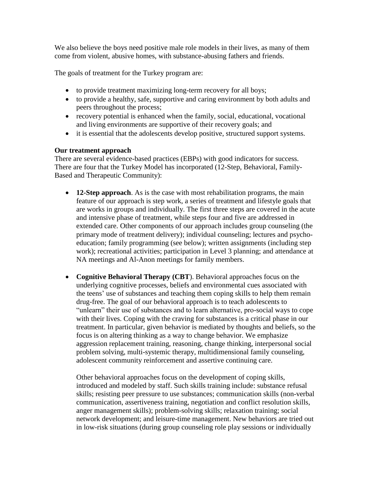We also believe the boys need positive male role models in their lives, as many of them come from violent, abusive homes, with substance-abusing fathers and friends.

The goals of treatment for the Turkey program are:

- to provide treatment maximizing long-term recovery for all boys;
- to provide a healthy, safe, supportive and caring environment by both adults and peers throughout the process;
- recovery potential is enhanced when the family, social, educational, vocational and living environments are supportive of their recovery goals; and
- it is essential that the adolescents develop positive, structured support systems.

## **Our treatment approach**

There are several evidence-based practices (EBPs) with good indicators for success. There are four that the Turkey Model has incorporated (12-Step, Behavioral, Family-Based and Therapeutic Community):

- **12-Step approach**. As is the case with most rehabilitation programs, the main feature of our approach is step work, a series of treatment and lifestyle goals that are works in groups and individually. The first three steps are covered in the acute and intensive phase of treatment, while steps four and five are addressed in extended care. Other components of our approach includes group counseling (the primary mode of treatment delivery); individual counseling; lectures and psychoeducation; family programming (see below); written assignments (including step work); recreational activities; participation in Level 3 planning; and attendance at NA meetings and Al-Anon meetings for family members.
- **Cognitive Behavioral Therapy (CBT**). Behavioral approaches focus on the underlying cognitive processes, beliefs and environmental cues associated with the teens' use of substances and teaching them coping skills to help them remain drug-free. The goal of our behavioral approach is to teach adolescents to "unlearn" their use of substances and to learn alternative, pro-social ways to cope with their lives. Coping with the craving for substances is a critical phase in our treatment. In particular, given behavior is mediated by thoughts and beliefs, so the focus is on altering thinking as a way to change behavior. We emphasize aggression replacement training, reasoning, change thinking, interpersonal social problem solving, multi-systemic therapy, multidimensional family counseling, adolescent community reinforcement and assertive continuing care.

Other behavioral approaches focus on the development of coping skills, introduced and modeled by staff. Such skills training include: substance refusal skills; resisting peer pressure to use substances; communication skills (non-verbal communication, assertiveness training, negotiation and conflict resolution skills, anger management skills); problem-solving skills; relaxation training; social network development; and leisure-time management. New behaviors are tried out in low-risk situations (during group counseling role play sessions or individually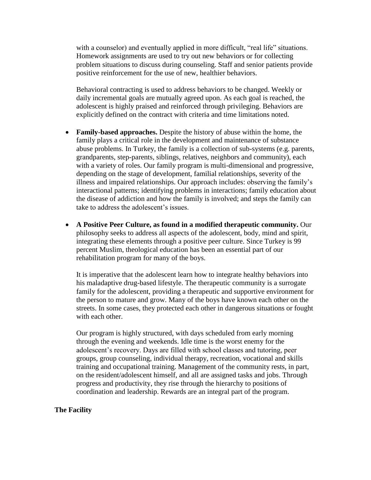with a counselor) and eventually applied in more difficult, "real life" situations. Homework assignments are used to try out new behaviors or for collecting problem situations to discuss during counseling. Staff and senior patients provide positive reinforcement for the use of new, healthier behaviors.

Behavioral contracting is used to address behaviors to be changed. Weekly or daily incremental goals are mutually agreed upon. As each goal is reached, the adolescent is highly praised and reinforced through privileging. Behaviors are explicitly defined on the contract with criteria and time limitations noted.

- **Family-based approaches.** Despite the history of abuse within the home, the family plays a critical role in the development and maintenance of substance abuse problems. In Turkey, the family is a collection of sub-systems (e.g. parents, grandparents, step-parents, siblings, relatives, neighbors and community), each with a variety of roles. Our family program is multi-dimensional and progressive, depending on the stage of development, familial relationships, severity of the illness and impaired relationships. Our approach includes: observing the family's interactional patterns; identifying problems in interactions; family education about the disease of addiction and how the family is involved; and steps the family can take to address the adolescent's issues.
- **A Positive Peer Culture, as found in a modified therapeutic community.** Our philosophy seeks to address all aspects of the adolescent, body, mind and spirit, integrating these elements through a positive peer culture. Since Turkey is 99 percent Muslim, theological education has been an essential part of our rehabilitation program for many of the boys.

It is imperative that the adolescent learn how to integrate healthy behaviors into his maladaptive drug-based lifestyle. The therapeutic community is a surrogate family for the adolescent, providing a therapeutic and supportive environment for the person to mature and grow. Many of the boys have known each other on the streets. In some cases, they protected each other in dangerous situations or fought with each other.

Our program is highly structured, with days scheduled from early morning through the evening and weekends. Idle time is the worst enemy for the adolescent's recovery. Days are filled with school classes and tutoring, peer groups, group counseling, individual therapy, recreation, vocational and skills training and occupational training. Management of the community rests, in part, on the resident/adolescent himself, and all are assigned tasks and jobs. Through progress and productivity, they rise through the hierarchy to positions of coordination and leadership. Rewards are an integral part of the program.

### **The Facility**